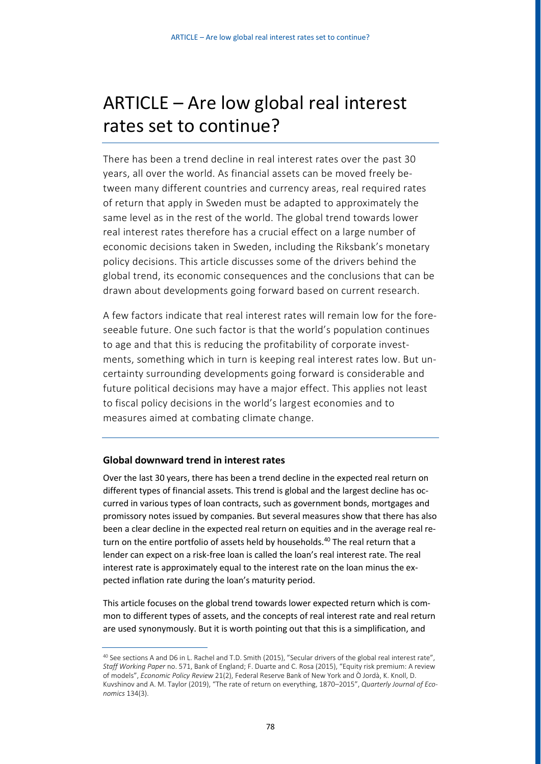# ARTICLE – Are low global real interest rates set to continue?

There has been a trend decline in real interest rates over the past 30 years, all over the world. As financial assets can be moved freely between many different countries and currency areas, real required rates of return that apply in Sweden must be adapted to approximately the same level as in the rest of the world. The global trend towards lower real interest rates therefore has a crucial effect on a large number of economic decisions taken in Sweden, including the Riksbank's monetary policy decisions. This article discusses some of the drivers behind the global trend, its economic consequences and the conclusions that can be drawn about developments going forward based on current research.

A few factors indicate that real interest rates will remain low for the foreseeable future. One such factor is that the world's population continues to age and that this is reducing the profitability of corporate investments, something which in turn is keeping real interest rates low. But uncertainty surrounding developments going forward is considerable and future political decisions may have a major effect. This applies not least to fiscal policy decisions in the world's largest economies and to measures aimed at combating climate change.

# **Global downward trend in interest rates**

Over the last 30 years, there has been a trend decline in the expected real return on different types of financial assets. This trend is global and the largest decline has occurred in various types of loan contracts, such as government bonds, mortgages and promissory notes issued by companies. But several measures show that there has also been a clear decline in the expected real return on equities and in the average real return on the entire portfolio of assets held by households.<sup>40</sup> The real return that a lender can expect on a risk-free loan is called the loan's real interest rate. The real interest rate is approximately equal to the interest rate on the loan minus the expected inflation rate during the loan's maturity period.

This article focuses on the global trend towards lower expected return which is common to different types of assets, and the concepts of real interest rate and real return are used synonymously. But it is worth pointing out that this is a simplification, and

<sup>&</sup>lt;sup>40</sup> See sections A and D6 in L. Rachel and T.D. Smith (2015), "Secular drivers of the global real interest rate", *Staff Working Paper* no. 571, Bank of England; F. Duarte and C. Rosa (2015), "Equity risk premium: A review of models", *Economic Policy Review* 21(2), Federal Reserve Bank of New York and Ò Jordà, K. Knoll, D. Kuvshinov and A. M. Taylor (2019), "The rate of return on everything, 1870–2015", *Quarterly Journal of Economics* 134(3).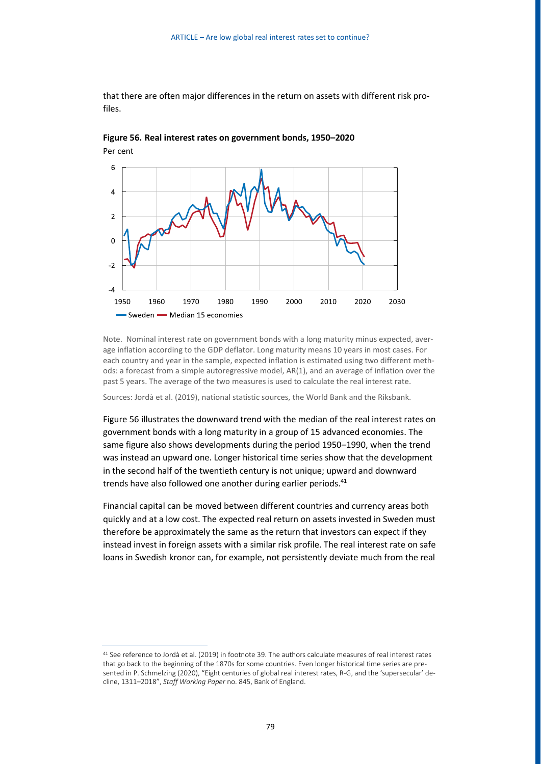that there are often major differences in the return on assets with different risk profiles.





Note. Nominal interest rate on government bonds with a long maturity minus expected, average inflation according to the GDP deflator. Long maturity means 10 years in most cases. For each country and year in the sample, expected inflation is estimated using two different methods: a forecast from a simple autoregressive model, AR(1), and an average of inflation over the past 5 years. The average of the two measures is used to calculate the real interest rate.

Sources: Jordà et al. (2019), national statistic sources, the World Bank and the Riksbank.

Figure 56 illustrates the downward trend with the median of the real interest rates on government bonds with a long maturity in a group of 15 advanced economies. The same figure also shows developments during the period 1950–1990, when the trend was instead an upward one. Longer historical time series show that the development in the second half of the twentieth century is not unique; upward and downward trends have also followed one another during earlier periods.<sup>41</sup>

Financial capital can be moved between different countries and currency areas both quickly and at a low cost. The expected real return on assets invested in Sweden must therefore be approximately the same as the return that investors can expect if they instead invest in foreign assets with a similar risk profile. The real interest rate on safe loans in Swedish kronor can, for example, not persistently deviate much from the real

<sup>41</sup> See reference to Jordà et al. (2019) in footnote 39. The authors calculate measures of real interest rates that go back to the beginning of the 1870s for some countries. Even longer historical time series are presented in P. Schmelzing (2020), "Eight centuries of global real interest rates, R-G, and the 'supersecular' decline, 1311–2018", *Staff Working Paper* no. 845, Bank of England.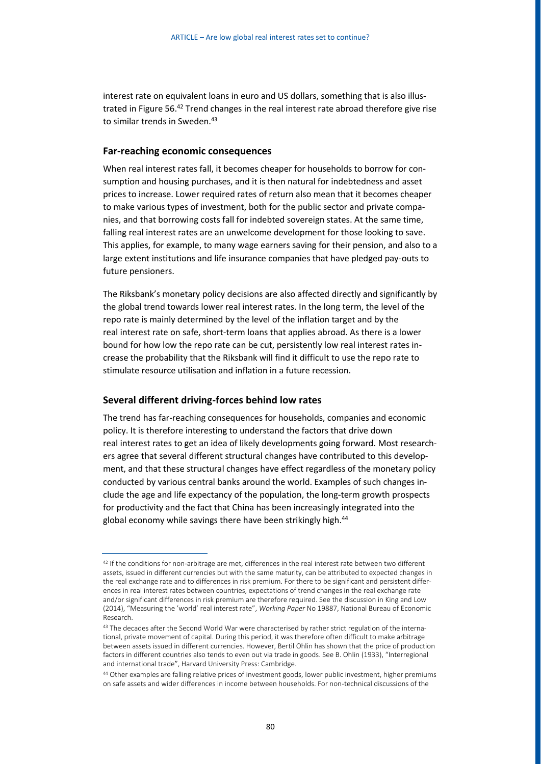interest rate on equivalent loans in euro and US dollars, something that is also illustrated in Figure 56.<sup>42</sup> Trend changes in the real interest rate abroad therefore give rise to similar trends in Sweden.<sup>43</sup>

#### **Far-reaching economic consequences**

When real interest rates fall, it becomes cheaper for households to borrow for consumption and housing purchases, and it is then natural for indebtedness and asset prices to increase. Lower required rates of return also mean that it becomes cheaper to make various types of investment, both for the public sector and private companies, and that borrowing costs fall for indebted sovereign states. At the same time, falling real interest rates are an unwelcome development for those looking to save. This applies, for example, to many wage earners saving for their pension, and also to a large extent institutions and life insurance companies that have pledged pay-outs to future pensioners.

The Riksbank's monetary policy decisions are also affected directly and significantly by the global trend towards lower real interest rates. In the long term, the level of the repo rate is mainly determined by the level of the inflation target and by the real interest rate on safe, short-term loans that applies abroad. As there is a lower bound for how low the repo rate can be cut, persistently low real interest rates increase the probability that the Riksbank will find it difficult to use the repo rate to stimulate resource utilisation and inflation in a future recession.

#### **Several different driving-forces behind low rates**

The trend has far-reaching consequences for households, companies and economic policy. It is therefore interesting to understand the factors that drive down real interest rates to get an idea of likely developments going forward. Most researchers agree that several different structural changes have contributed to this development, and that these structural changes have effect regardless of the monetary policy conducted by various central banks around the world. Examples of such changes include the age and life expectancy of the population, the long-term growth prospects for productivity and the fact that China has been increasingly integrated into the global economy while savings there have been strikingly high.<sup>44</sup>

<sup>&</sup>lt;sup>42</sup> If the conditions for non-arbitrage are met, differences in the real interest rate between two different assets, issued in different currencies but with the same maturity, can be attributed to expected changes in the real exchange rate and to differences in risk premium. For there to be significant and persistent differences in real interest rates between countries, expectations of trend changes in the real exchange rate and/or significant differences in risk premium are therefore required. See the discussion in King and Low (2014), "Measuring the 'world' real interest rate", *Working Paper* No 19887, National Bureau of Economic Research.

<sup>&</sup>lt;sup>43</sup> The decades after the Second World War were characterised by rather strict regulation of the international, private movement of capital. During this period, it was therefore often difficult to make arbitrage between assets issued in different currencies. However, Bertil Ohlin has shown that the price of production factors in different countries also tends to even out via trade in goods. See B. Ohlin (1933), "Interregional and international trade", Harvard University Press: Cambridge.

<sup>44</sup> Other examples are falling relative prices of investment goods, lower public investment, higher premiums on safe assets and wider differences in income between households. For non-technical discussions of the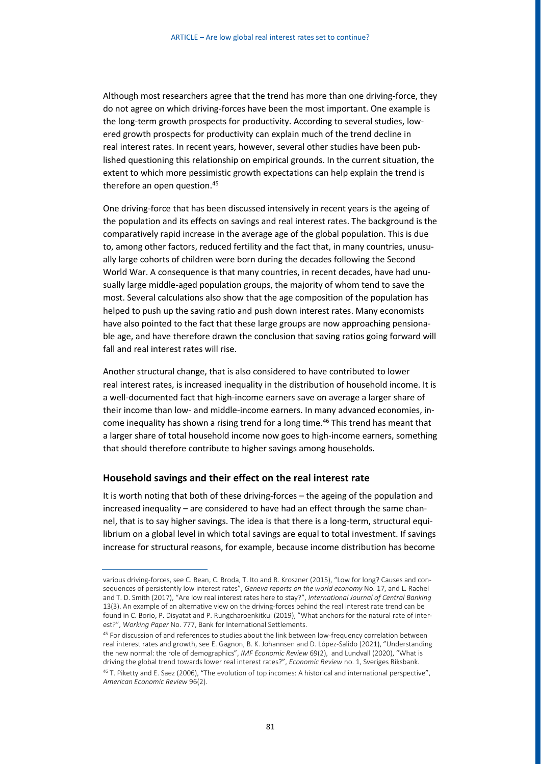Although most researchers agree that the trend has more than one driving-force, they do not agree on which driving-forces have been the most important. One example is the long-term growth prospects for productivity. According to several studies, lowered growth prospects for productivity can explain much of the trend decline in real interest rates. In recent years, however, several other studies have been published questioning this relationship on empirical grounds. In the current situation, the extent to which more pessimistic growth expectations can help explain the trend is therefore an open question.<sup>45</sup>

One driving-force that has been discussed intensively in recent years is the ageing of the population and its effects on savings and real interest rates. The background is the comparatively rapid increase in the average age of the global population. This is due to, among other factors, reduced fertility and the fact that, in many countries, unusually large cohorts of children were born during the decades following the Second World War. A consequence is that many countries, in recent decades, have had unusually large middle-aged population groups, the majority of whom tend to save the most. Several calculations also show that the age composition of the population has helped to push up the saving ratio and push down interest rates. Many economists have also pointed to the fact that these large groups are now approaching pensionable age, and have therefore drawn the conclusion that saving ratios going forward will fall and real interest rates will rise.

Another structural change, that is also considered to have contributed to lower real interest rates, is increased inequality in the distribution of household income. It is a well-documented fact that high-income earners save on average a larger share of their income than low- and middle-income earners. In many advanced economies, income inequality has shown a rising trend for a long time.<sup>46</sup> This trend has meant that a larger share of total household income now goes to high-income earners, something that should therefore contribute to higher savings among households.

#### **Household savings and their effect on the real interest rate**

It is worth noting that both of these driving-forces – the ageing of the population and increased inequality – are considered to have had an effect through the same channel, that is to say higher savings. The idea is that there is a long-term, structural equilibrium on a global level in which total savings are equal to total investment. If savings increase for structural reasons, for example, because income distribution has become

various driving-forces, see C. Bean, C. Broda, T. Ito and R. Kroszner (2015), "Low for long? Causes and consequences of persistently low interest rates", *Geneva reports on the world economy* No. 17, and L. Rachel and T. D. Smith (2017), "Are low real interest rates here to stay?", *International Journal of Central Banking* 13(3). An example of an alternative view on the driving-forces behind the real interest rate trend can be found in C. Borio, P. Disyatat and P. Rungcharoenkitkul (2019), "What anchors for the natural rate of interest?", *Working Paper* No. 777, Bank for International Settlements.

<sup>45</sup> For discussion of and references to studies about the link between low-frequency correlation between real interest rates and growth, see E. Gagnon, B. K. Johannsen and D. López-Salido (2021), "Understanding the new normal: the role of demographics", *IMF Economic Review* 69(2), and Lundvall (2020), "What is driving the global trend towards lower real interest rates?", *Economic Review* no. 1, Sveriges Riksbank. <sup>46</sup> T. Piketty and E. Saez (2006), "The evolution of top incomes: A historical and international perspective",

*American Economic Review* 96(2).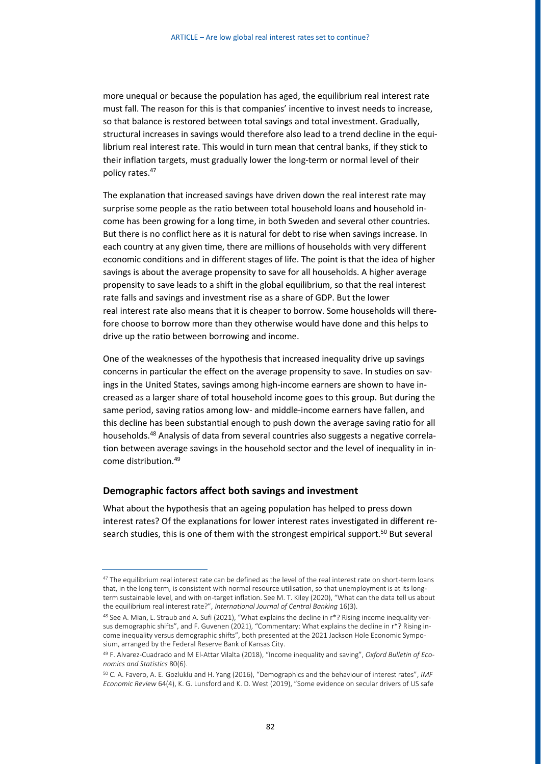more unequal or because the population has aged, the equilibrium real interest rate must fall. The reason for this is that companies' incentive to invest needs to increase, so that balance is restored between total savings and total investment. Gradually, structural increases in savings would therefore also lead to a trend decline in the equilibrium real interest rate. This would in turn mean that central banks, if they stick to their inflation targets, must gradually lower the long-term or normal level of their policy rates.<sup>47</sup>

The explanation that increased savings have driven down the real interest rate may surprise some people as the ratio between total household loans and household income has been growing for a long time, in both Sweden and several other countries. But there is no conflict here as it is natural for debt to rise when savings increase. In each country at any given time, there are millions of households with very different economic conditions and in different stages of life. The point is that the idea of higher savings is about the average propensity to save for all households. A higher average propensity to save leads to a shift in the global equilibrium, so that the real interest rate falls and savings and investment rise as a share of GDP. But the lower real interest rate also means that it is cheaper to borrow. Some households will therefore choose to borrow more than they otherwise would have done and this helps to drive up the ratio between borrowing and income.

One of the weaknesses of the hypothesis that increased inequality drive up savings concerns in particular the effect on the average propensity to save. In studies on savings in the United States, savings among high-income earners are shown to have increased as a larger share of total household income goes to this group. But during the same period, saving ratios among low- and middle-income earners have fallen, and this decline has been substantial enough to push down the average saving ratio for all households.<sup>48</sup> Analysis of data from several countries also suggests a negative correlation between average savings in the household sector and the level of inequality in income distribution.<sup>49</sup>

## **Demographic factors affect both savings and investment**

What about the hypothesis that an ageing population has helped to press down interest rates? Of the explanations for lower interest rates investigated in different research studies, this is one of them with the strongest empirical support.<sup>50</sup> But several

<sup>&</sup>lt;sup>47</sup> The equilibrium real interest rate can be defined as the level of the real interest rate on short-term loans that, in the long term, is consistent with normal resource utilisation, so that unemployment is at its longterm sustainable level, and with on-target inflation. See M. T. Kiley (2020), "What can the data tell us about the equilibrium real interest rate?", *International Journal of Central Banking* 16(3).

<sup>48</sup> See A. Mian, L. Straub and A. Sufi (2021), "What explains the decline in r\*? Rising income inequality versus demographic shifts", and F. Guvenen (2021), "Commentary: What explains the decline in r\*? Rising income inequality versus demographic shifts", both presented at the 2021 Jackson Hole Economic Symposium, arranged by the Federal Reserve Bank of Kansas City.

<sup>49</sup> F. Alvarez-Cuadrado and M El-Attar Vilalta (2018), "Income inequality and saving", *Oxford Bulletin of Economics and Statistics* 80(6).

<sup>50</sup> C. A. Favero, A. E. Gozluklu and H. Yang (2016), "Demographics and the behaviour of interest rates", *IMF Economic Review* 64(4), K. G. Lunsford and K. D. West (2019), "Some evidence on secular drivers of US safe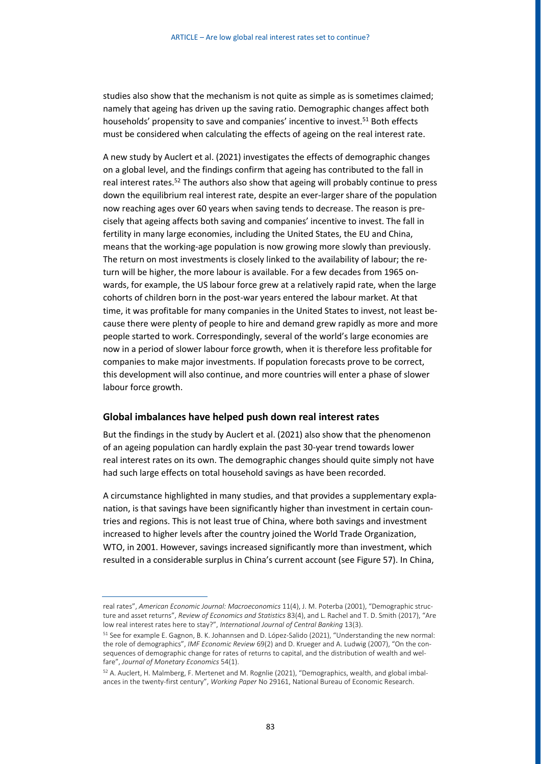studies also show that the mechanism is not quite as simple as is sometimes claimed; namely that ageing has driven up the saving ratio. Demographic changes affect both households' propensity to save and companies' incentive to invest.<sup>51</sup> Both effects must be considered when calculating the effects of ageing on the real interest rate.

A new study by Auclert et al. (2021) investigates the effects of demographic changes on a global level, and the findings confirm that ageing has contributed to the fall in real interest rates.<sup>52</sup> The authors also show that ageing will probably continue to press down the equilibrium real interest rate, despite an ever-larger share of the population now reaching ages over 60 years when saving tends to decrease. The reason is precisely that ageing affects both saving and companies' incentive to invest. The fall in fertility in many large economies, including the United States, the EU and China, means that the working-age population is now growing more slowly than previously. The return on most investments is closely linked to the availability of labour; the return will be higher, the more labour is available. For a few decades from 1965 onwards, for example, the US labour force grew at a relatively rapid rate, when the large cohorts of children born in the post-war years entered the labour market. At that time, it was profitable for many companies in the United States to invest, not least because there were plenty of people to hire and demand grew rapidly as more and more people started to work. Correspondingly, several of the world's large economies are now in a period of slower labour force growth, when it is therefore less profitable for companies to make major investments. If population forecasts prove to be correct, this development will also continue, and more countries will enter a phase of slower labour force growth.

#### **Global imbalances have helped push down real interest rates**

But the findings in the study by Auclert et al. (2021) also show that the phenomenon of an ageing population can hardly explain the past 30-year trend towards lower real interest rates on its own. The demographic changes should quite simply not have had such large effects on total household savings as have been recorded.

A circumstance highlighted in many studies, and that provides a supplementary explanation, is that savings have been significantly higher than investment in certain countries and regions. This is not least true of China, where both savings and investment increased to higher levels after the country joined the World Trade Organization, WTO, in 2001. However, savings increased significantly more than investment, which resulted in a considerable surplus in China's current account (see Figure 57). In China,

real rates", *American Economic Journal: Macroeconomics* 11(4), J. M. Poterba (2001), "Demographic structure and asset returns", *Review of Economics and Statistics* 83(4), and L. Rachel and T. D. Smith (2017), "Are low real interest rates here to stay?", *International Journal of Central Banking* 13(3).

<sup>51</sup> See for example E. Gagnon, B. K. Johannsen and D. López-Salido (2021), "Understanding the new normal: the role of demographics", *IMF Economic Review* 69(2) and D. Krueger and A. Ludwig (2007), "On the consequences of demographic change for rates of returns to capital, and the distribution of wealth and welfare", *Journal of Monetary Economics* 54(1).

<sup>52</sup> A. Auclert, H. Malmberg, F. Mertenet and M. Rognlie (2021), "Demographics, wealth, and global imbalances in the twenty-first century", *Working Paper* No 29161, National Bureau of Economic Research.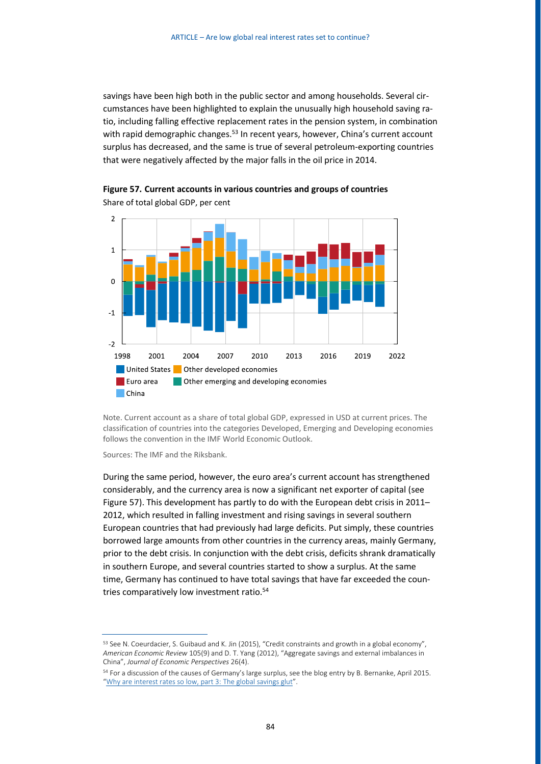savings have been high both in the public sector and among households. Several circumstances have been highlighted to explain the unusually high household saving ratio, including falling effective replacement rates in the pension system, in combination with rapid demographic changes.<sup>53</sup> In recent years, however, China's current account surplus has decreased, and the same is true of several petroleum-exporting countries that were negatively affected by the major falls in the oil price in 2014.



**Figure 57. Current accounts in various countries and groups of countries** Share of total global GDP, per cent

Note. Current account as a share of total global GDP, expressed in USD at current prices. The classification of countries into the categories Developed, Emerging and Developing economies follows the convention in the IMF World Economic Outlook.

Sources: The IMF and the Riksbank.

During the same period, however, the euro area's current account has strengthened considerably, and the currency area is now a significant net exporter of capital (see Figure 57). This development has partly to do with the European debt crisis in 2011– 2012, which resulted in falling investment and rising savings in several southern European countries that had previously had large deficits. Put simply, these countries borrowed large amounts from other countries in the currency areas, mainly Germany, prior to the debt crisis. In conjunction with the debt crisis, deficits shrank dramatically in southern Europe, and several countries started to show a surplus. At the same time, Germany has continued to have total savings that have far exceeded the countries comparatively low investment ratio.<sup>54</sup>

<sup>&</sup>lt;sup>53</sup> See N. Coeurdacier, S. Guibaud and K. Jin (2015), "Credit constraints and growth in a global economy", *American Economic Review* 105(9) and D. T. Yang (2012), "Aggregate savings and external imbalances in China", *Journal of Economic Perspectives* 26(4).

<sup>54</sup> For a discussion of the causes of Germany's large surplus, see the blog entry by B. Bernanke, April 2015. "[Why are interest rates so low, part 3:](https://www.brookings.edu/blog/ben-bernanke/2015/04/01/why-are-interest-rates-so-low-part-3-the-global-savings-glut/) [The global savings glut](https://www.brookings.edu/blog/ben-bernanke/2015/04/01/why-are-interest-rates-so-low-part-3-the-global-savings-glut/)".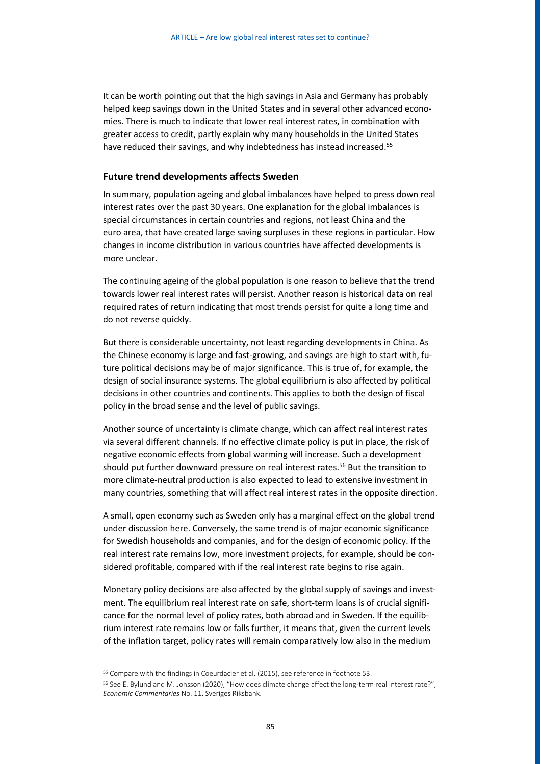It can be worth pointing out that the high savings in Asia and Germany has probably helped keep savings down in the United States and in several other advanced economies. There is much to indicate that lower real interest rates, in combination with greater access to credit, partly explain why many households in the United States have reduced their savings, and why indebtedness has instead increased.<sup>55</sup>

## **Future trend developments affects Sweden**

In summary, population ageing and global imbalances have helped to press down real interest rates over the past 30 years. One explanation for the global imbalances is special circumstances in certain countries and regions, not least China and the euro area, that have created large saving surpluses in these regions in particular. How changes in income distribution in various countries have affected developments is more unclear.

The continuing ageing of the global population is one reason to believe that the trend towards lower real interest rates will persist. Another reason is historical data on real required rates of return indicating that most trends persist for quite a long time and do not reverse quickly.

But there is considerable uncertainty, not least regarding developments in China. As the Chinese economy is large and fast-growing, and savings are high to start with, future political decisions may be of major significance. This is true of, for example, the design of social insurance systems. The global equilibrium is also affected by political decisions in other countries and continents. This applies to both the design of fiscal policy in the broad sense and the level of public savings.

Another source of uncertainty is climate change, which can affect real interest rates via several different channels. If no effective climate policy is put in place, the risk of negative economic effects from global warming will increase. Such a development should put further downward pressure on real interest rates.<sup>56</sup> But the transition to more climate-neutral production is also expected to lead to extensive investment in many countries, something that will affect real interest rates in the opposite direction.

A small, open economy such as Sweden only has a marginal effect on the global trend under discussion here. Conversely, the same trend is of major economic significance for Swedish households and companies, and for the design of economic policy. If the real interest rate remains low, more investment projects, for example, should be considered profitable, compared with if the real interest rate begins to rise again.

Monetary policy decisions are also affected by the global supply of savings and investment. The equilibrium real interest rate on safe, short-term loans is of crucial significance for the normal level of policy rates, both abroad and in Sweden. If the equilibrium interest rate remains low or falls further, it means that, given the current levels of the inflation target, policy rates will remain comparatively low also in the medium

<sup>55</sup> Compare with the findings in Coeurdacier et al. (2015), see reference in footnote 53.

<sup>&</sup>lt;sup>56</sup> See E. Bylund and M. Jonsson (2020), "How does climate change affect the long-term real interest rate?", *Economic Commentaries* No. 11, Sveriges Riksbank.